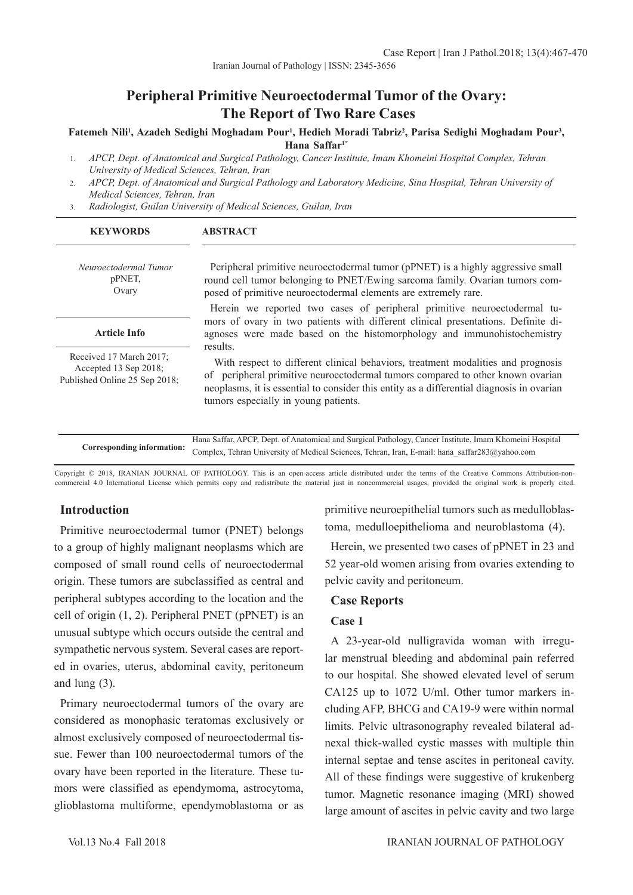#### Fatemeh Nili<sup>ı</sup>, Azadeh Sedighi Moghadam Pour<sup>ı</sup>, Hedieh Moradi Tabriz<sup>2</sup>, Parisa Sedighi Moghadam Pour<sup>3</sup>, **Hana Saffar1\***

- 1. *APCP, Dept. of Anatomical and Surgical Pathology, Cancer Institute, Imam Khomeini Hospital Complex, Tehran University of Medical Sciences, Tehran, Iran*
- 2. *APCP, Dept. of Anatomical and Surgical Pathology and Laboratory Medicine, Sina Hospital, Tehran University of Medical Sciences, Tehran, Iran*
- 3. *Radiologist, Guilan University of Medical Sciences, Guilan, Iran*

| <b>KEYWORDS</b>                                                                   | <b>ABSTRACT</b>                                                                                                                                                                                                                                                                                                     |
|-----------------------------------------------------------------------------------|---------------------------------------------------------------------------------------------------------------------------------------------------------------------------------------------------------------------------------------------------------------------------------------------------------------------|
| Neuroectodermal Tumor<br>pPNET,<br>Ovary                                          | Peripheral primitive neuroectodermal tumor (pPNET) is a highly aggressive small<br>round cell tumor belonging to PNET/Ewing sarcoma family. Ovarian tumors com-<br>posed of primitive neuroectodermal elements are extremely rare.                                                                                  |
|                                                                                   | Herein we reported two cases of peripheral primitive neuroectodermal tu-                                                                                                                                                                                                                                            |
| <b>Article Info</b>                                                               | mors of ovary in two patients with different clinical presentations. Definite di-<br>agnoses were made based on the histomorphology and immunohistochemistry                                                                                                                                                        |
| Received 17 March 2017;<br>Accepted 13 Sep 2018;<br>Published Online 25 Sep 2018; | results.<br>With respect to different clinical behaviors, treatment modalities and prognosis<br>of peripheral primitive neuroectodermal tumors compared to other known ovarian<br>neoplasms, it is essential to consider this entity as a differential diagnosis in ovarian<br>tumors especially in young patients. |
|                                                                                   |                                                                                                                                                                                                                                                                                                                     |

|  | Hana Saffar, APCP, Dept. of Anatomical and Surgical Pathology, Cancer Institute, Imam Khomeini Hospital                   |
|--|---------------------------------------------------------------------------------------------------------------------------|
|  | Corresponding information: Complex, Tehran University of Medical Sciences, Tehran, Iran, E-mail: hana_saffar283@yahoo.com |

Copyright © 2018, IRANIAN JOURNAL OF PATHOLOGY. This is an open-access article distributed under the terms of the Creative Commons Attribution-noncommercial 4.0 International License which permits copy and redistribute the material just in noncommercial usages, provided the original work is properly cited.

# **Introduction**

Primitive neuroectodermal tumor (PNET) belongs to a group of highly malignant neoplasms which are composed of small round cells of neuroectodermal origin. These tumors are subclassified as central and peripheral subtypes according to the location and the cell of origin (1, 2). Peripheral PNET (pPNET) is an unusual subtype which occurs outside the central and sympathetic nervous system. Several cases are reported in ovaries, uterus, abdominal cavity, peritoneum and lung (3).

Primary neuroectodermal tumors of the ovary are considered as monophasic teratomas exclusively or almost exclusively composed of neuroectodermal tissue. Fewer than 100 neuroectodermal tumors of the ovary have been reported in the literature. These tumors were classified as ependymoma, astrocytoma, glioblastoma multiforme, ependymoblastoma or as

primitive neuroepithelial tumors such as medulloblastoma, medulloepithelioma and neuroblastoma (4).

Herein, we presented two cases of pPNET in 23 and 52 year-old women arising from ovaries extending to pelvic cavity and peritoneum.

### **Case Reports**

### **Case 1**

A 23-year-old nulligravida woman with irregular menstrual bleeding and abdominal pain referred to our hospital. She showed elevated level of serum CA125 up to 1072 U/ml. Other tumor markers including AFP, BHCG and CA19-9 were within normal limits. Pelvic ultrasonography revealed bilateral adnexal thick-walled cystic masses with multiple thin internal septae and tense ascites in peritoneal cavity. All of these findings were suggestive of krukenberg tumor. Magnetic resonance imaging (MRI) showed large amount of ascites in pelvic cavity and two large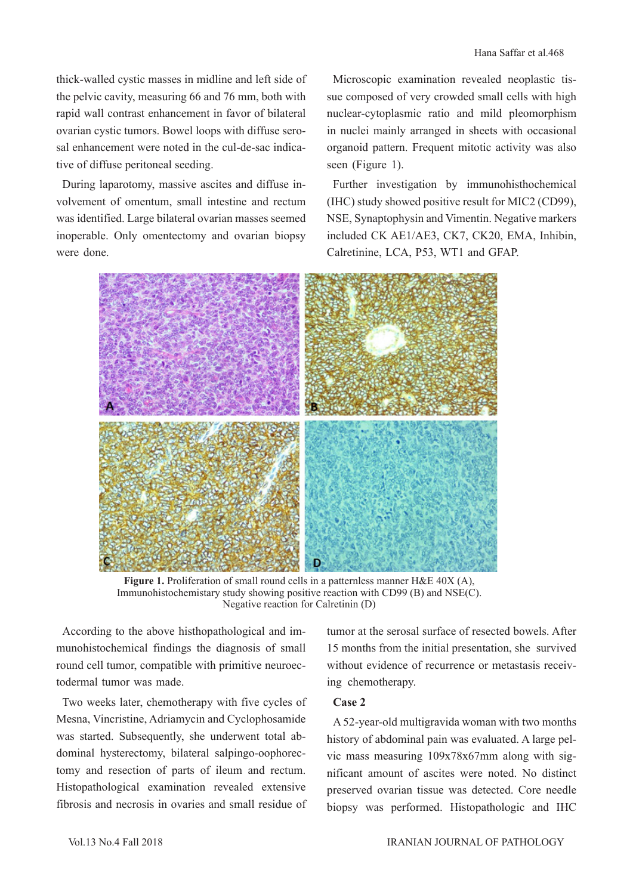thick-walled cystic masses in midline and left side of the pelvic cavity, measuring 66 and 76 mm, both with rapid wall contrast enhancement in favor of bilateral ovarian cystic tumors. Bowel loops with diffuse serosal enhancement were noted in the cul-de-sac indicative of diffuse peritoneal seeding.

During laparotomy, massive ascites and diffuse involvement of omentum, small intestine and rectum was identified. Large bilateral ovarian masses seemed inoperable. Only omentectomy and ovarian biopsy were done.

Microscopic examination revealed neoplastic tissue composed of very crowded small cells with high nuclear-cytoplasmic ratio and mild pleomorphism in nuclei mainly arranged in sheets with occasional organoid pattern. Frequent mitotic activity was also seen (Figure 1).

Further investigation by immunohisthochemical (IHC) study showed positive result for MIC2 (CD99), NSE, Synaptophysin and Vimentin. Negative markers included CK AE1/AE3, CK7, CK20, EMA, Inhibin, Calretinine, LCA, P53, WT1 and GFAP.



Figure 1. Proliferation of small round cells in a patternless manner H&E 40X (A), Immunohistochemistary study showing positive reaction with CD99 (B) and NSE(C). Negative reaction for Calretinin (D)

According to the above histhopathological and immunohistochemical findings the diagnosis of small round cell tumor, compatible with primitive neuroectodermal tumor was made.

Two weeks later, chemotherapy with five cycles of Mesna, Vincristine, Adriamycin and Cyclophosamide was started. Subsequently, she underwent total abdominal hysterectomy, bilateral salpingo-oophorectomy and resection of parts of ileum and rectum. Histopathological examination revealed extensive fibrosis and necrosis in ovaries and small residue of tumor at the serosal surface of resected bowels. After 15 months from the initial presentation, she survived without evidence of recurrence or metastasis receiving chemotherapy.

### **Case 2**

A 52-year-old multigravida woman with two months history of abdominal pain was evaluated. A large pelvic mass measuring 109x78x67mm along with significant amount of ascites were noted. No distinct preserved ovarian tissue was detected. Core needle biopsy was performed. Histopathologic and IHC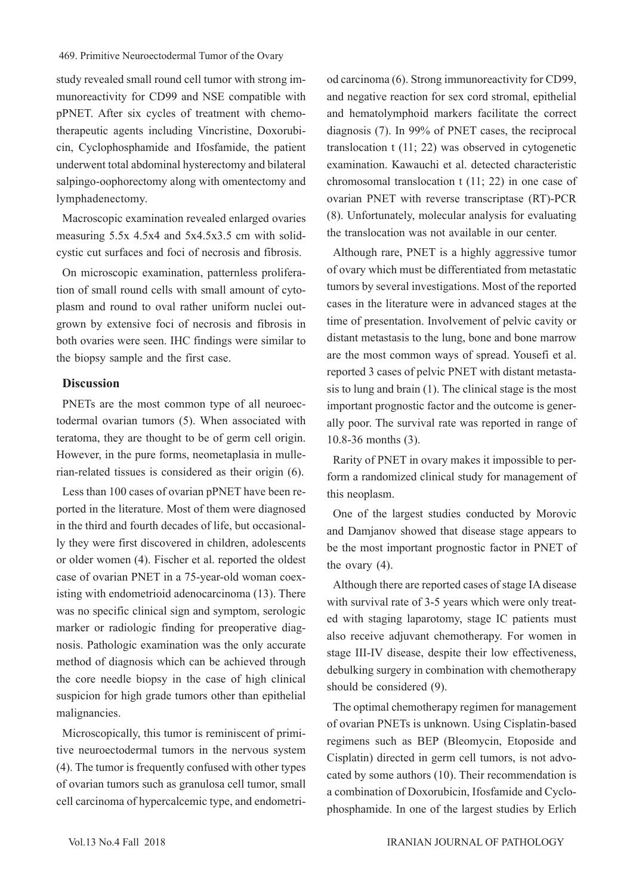study revealed small round cell tumor with strong immunoreactivity for CD99 and NSE compatible with pPNET. After six cycles of treatment with chemotherapeutic agents including Vincristine, Doxorubicin, Cyclophosphamide and Ifosfamide, the patient underwent total abdominal hysterectomy and bilateral salpingo-oophorectomy along with omentectomy and lymphadenectomy.

Macroscopic examination revealed enlarged ovaries measuring 5.5x 4.5x4 and 5x4.5x3.5 cm with solidcystic cut surfaces and foci of necrosis and fibrosis.

On microscopic examination, patternless proliferation of small round cells with small amount of cytoplasm and round to oval rather uniform nuclei outgrown by extensive foci of necrosis and fibrosis in both ovaries were seen. IHC findings were similar to the biopsy sample and the first case.

### **Discussion**

PNETs are the most common type of all neuroectodermal ovarian tumors (5). When associated with teratoma, they are thought to be of germ cell origin. However, in the pure forms, neometaplasia in mullerian-related tissues is considered as their origin (6).

Less than 100 cases of ovarian pPNET have been reported in the literature. Most of them were diagnosed in the third and fourth decades of life, but occasionally they were first discovered in children, adolescents or older women (4). Fischer et al. reported the oldest case of ovarian PNET in a 75-year-old woman coexisting with endometrioid adenocarcinoma (13). There was no specific clinical sign and symptom, serologic marker or radiologic finding for preoperative diagnosis. Pathologic examination was the only accurate method of diagnosis which can be achieved through the core needle biopsy in the case of high clinical suspicion for high grade tumors other than epithelial malignancies.

Microscopically, this tumor is reminiscent of primitive neuroectodermal tumors in the nervous system (4). The tumor is frequently confused with other types of ovarian tumors such as granulosa cell tumor, small cell carcinoma of hypercalcemic type, and endometriod carcinoma (6). Strong immunoreactivity for CD99, and negative reaction for sex cord stromal, epithelial and hematolymphoid markers facilitate the correct diagnosis (7). In 99% of PNET cases, the reciprocal translocation t (11; 22) was observed in cytogenetic examination. Kawauchi et al. detected characteristic chromosomal translocation t (11; 22) in one case of ovarian PNET with reverse transcriptase (RT)-PCR (8). Unfortunately, molecular analysis for evaluating the translocation was not available in our center.

Although rare, PNET is a highly aggressive tumor of ovary which must be differentiated from metastatic tumors by several investigations. Most of the reported cases in the literature were in advanced stages at the time of presentation. Involvement of pelvic cavity or distant metastasis to the lung, bone and bone marrow are the most common ways of spread. Yousefi et al. reported 3 cases of pelvic PNET with distant metastasis to lung and brain (1). The clinical stage is the most important prognostic factor and the outcome is generally poor. The survival rate was reported in range of 10.8-36 months (3).

Rarity of PNET in ovary makes it impossible to perform a randomized clinical study for management of this neoplasm.

One of the largest studies conducted by Morovic and Damjanov showed that disease stage appears to be the most important prognostic factor in PNET of the ovary (4).

Although there are reported cases of stage IA disease with survival rate of 3-5 years which were only treated with staging laparotomy, stage IC patients must also receive adjuvant chemotherapy. For women in stage III-IV disease, despite their low effectiveness, debulking surgery in combination with chemotherapy should be considered (9).

The optimal chemotherapy regimen for management of ovarian PNETs is unknown. Using Cisplatin-based regimens such as BEP (Bleomycin, Etoposide and Cisplatin) directed in germ cell tumors, is not advocated by some authors (10). Their recommendation is a combination of Doxorubicin, Ifosfamide and Cyclophosphamide. In one of the largest studies by Erlich